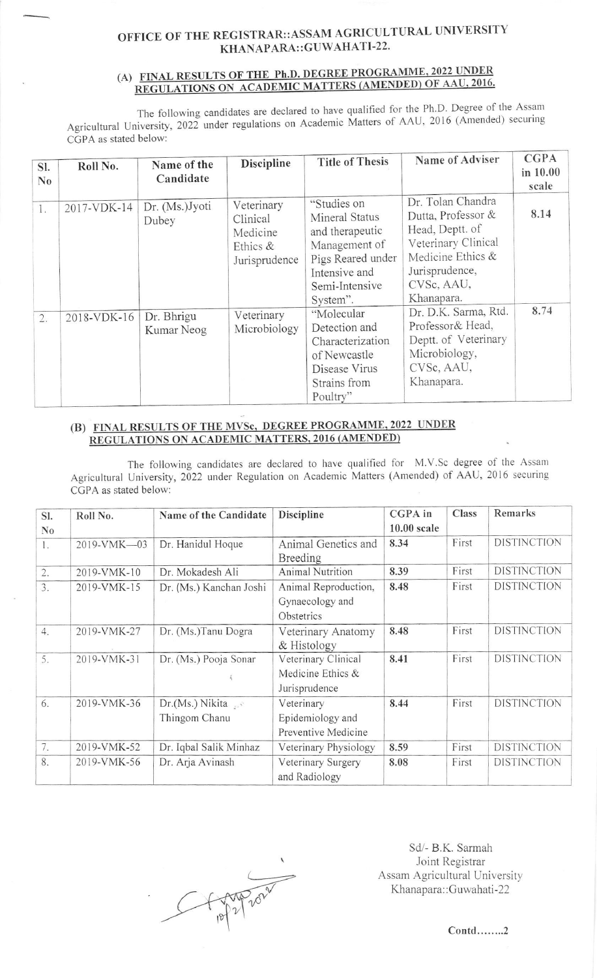## OFFICE OF THE REGISTRAR::ASSAM AGRICULTURAL UNIVERSITY KHANAPARA::GUWAHATI-22.

## (A) FINAL RESULTS OF THE Ph.D. DEGREE PROGRAMME, 2022 UNDER REGULATIONS ON ACADEMIC MATTERS (AMENDED) OF AAU, 2016.

The following candidates are declared to have qualified for the Ph.D. Degree of the Assam Agricultural University, 2022 under regulations on Academic Matters of AAU, 2016 (Amended) securing CGPA as stated below:

| SI.<br>$\bf N_0$ | Roll No.    | Name of the<br>Candidate | <b>Discipline</b>                                               | <b>Title of Thesis</b>                                                                                                                | Name of Adviser                                                                                                                                      | <b>CGPA</b><br>in 10.00<br>scale |
|------------------|-------------|--------------------------|-----------------------------------------------------------------|---------------------------------------------------------------------------------------------------------------------------------------|------------------------------------------------------------------------------------------------------------------------------------------------------|----------------------------------|
| 1.               | 2017-VDK-14 | Dr. (Ms.)Jyoti<br>Dubey  | Veterinary<br>Clinical<br>Medicine<br>Ethics &<br>Jurisprudence | "Studies on<br>Mineral Status<br>and therapeutic<br>Management of<br>Pigs Reared under<br>Intensive and<br>Semi-Intensive<br>System". | Dr. Tolan Chandra<br>Dutta, Professor &<br>Head, Deptt. of<br>Veterinary Clinical<br>Medicine Ethics &<br>Jurisprudence,<br>CVSc, AAU,<br>Khanapara. | 8.14                             |
| 2.               | 2018-VDK-16 | Dr. Bhrigu<br>Kumar Neog | Veterinary<br>Microbiology                                      | "Molecular<br>Detection and<br>Characterization<br>of Newcastle<br>Disease Virus<br>Strains from<br>Poultry"                          | Dr. D.K. Sarma, Rtd.<br>Professor& Head,<br>Deptt. of Veterinary<br>Microbiology,<br>CVSc, AAU,<br>Khanapara.                                        | 8.74                             |

## (B) FINAL RESULTS OF THE MVSc, DEGREE PROGRAMME, 2022 UNDER REGULATIONS ON ACADEMIC MATTERS, 2016 (AMENDED)

The following candidates are declared to have qualified for M.V.Sc degree of the Assam Agricultural University, 2022 under Regulation on Academic Matters (Amended) of AAU, 2016 securing CGPA as stated below:

| SI.                       | Roll No.    | Name of the Candidate   | <b>Discipline</b>       | CGPA in       | Class | Remarks            |
|---------------------------|-------------|-------------------------|-------------------------|---------------|-------|--------------------|
| $\mathbf{N}$ <sub>0</sub> |             |                         |                         | $10.00$ scale |       |                    |
| 1.                        | 2019-VMK-03 | Dr. Hanidul Hoque       | Animal Genetics and     | 8.34          | First | <b>DISTINCTION</b> |
|                           |             |                         | Breeding                |               |       |                    |
| 2.                        | 2019-VMK-10 | Dr. Mokadesh Ali        | <b>Animal Nutrition</b> | 8.39          | First | <b>DISTINCTION</b> |
| 3.                        | 2019-VMK-15 | Dr. (Ms.) Kanchan Joshi | Animal Reproduction,    | 8.48          | First | <b>DISTINCTION</b> |
|                           |             |                         | Gynaecology and         |               |       |                    |
|                           |             |                         | Obstetrics              |               |       |                    |
| 4.                        | 2019-VMK-27 | Dr. (Ms.)Tanu Dogra     | Veterinary Anatomy      | 8.48          | First | <b>DISTINCTION</b> |
|                           |             |                         | & Histology             |               |       |                    |
| 5.                        | 2019-VMK-31 | Dr. (Ms.) Pooja Sonar   | Veterinary Clinical     | 8.41          | First | <b>DISTINCTION</b> |
|                           |             |                         | Medicine Ethics &       |               |       |                    |
|                           |             |                         | Jurisprudence           |               |       |                    |
| 6.                        | 2019-VMK-36 | Dr.(Ms.) Nikita         | Veterinary              | 8.44          | First | <b>DISTINCTION</b> |
|                           |             | Thingom Chanu           | Epidemiology and        |               |       |                    |
|                           |             |                         | Preventive Medicine     |               |       |                    |
| 7.                        | 2019-VMK-52 | Dr. Iqbal Salik Minhaz  | Veterinary Physiology   | 8.59          | First | <b>DISTINCTION</b> |
| 8.                        | 2019-VMK-56 | Dr. Arja Avinash        | Veterinary Surgery      | 8.08          | First | <b>DISTINCTION</b> |
|                           |             |                         | and Radiology           |               |       |                    |

PP2 2020

Sd/- B.K. Sarmah Joint Registrar Assam Agricultural University Khanapara::Guwahati-22

 $Cont.$ .......2